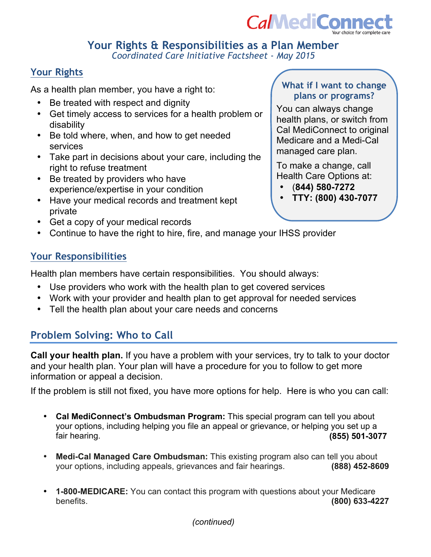

#### **Your Rights & Responsibilities as a Plan Member**  *Coordinated Care Initiative Factsheet - May 2015*

# **Your Rights**

As a health plan member, you have a right to:

- Be treated with respect and dignity
- Get timely access to services for a health problem or disability
- Be told where, when, and how to get needed services
- Take part in decisions about your care, including the right to refuse treatment
- Be treated by providers who have experience/expertise in your condition
- Have your medical records and treatment kept private
- Get a copy of your medical records
- Continue to have the right to hire, fire, and manage your IHSS provider

# **Your Responsibilities**

Health plan members have certain responsibilities. You should always:

- Use providers who work with the health plan to get covered services
- Work with your provider and health plan to get approval for needed services
- Tell the health plan about your care needs and concerns

# **Problem Solving: Who to Call**

**Call your health plan.** If you have a problem with your services, try to talk to your doctor and your health plan. Your plan will have a procedure for you to follow to get more information or appeal a decision.

If the problem is still not fixed, you have more options for help. Here is who you can call:

- **Cal MediConnect's Ombudsman Program:** This special program can tell you about your options, including helping you file an appeal or grievance, or helping you set up a fair hearing. **(855) 501-3077**
- **Medi-Cal Managed Care Ombudsman:** This existing program also can tell you about your options, including appeals, grievances and fair hearings. **(888) 452-8609**
- **1-800-MEDICARE:** You can contact this program with questions about your Medicare benefits. **(800) 633-4227**

# **What if I want to change plans or programs?**

You can always change health plans, or switch from Cal MediConnect to original Medicare and a Medi-Cal managed care plan.

To make a change, call Health Care Options at:

- (**844) 580-7272**
- **TTY: (800) 430-7077**